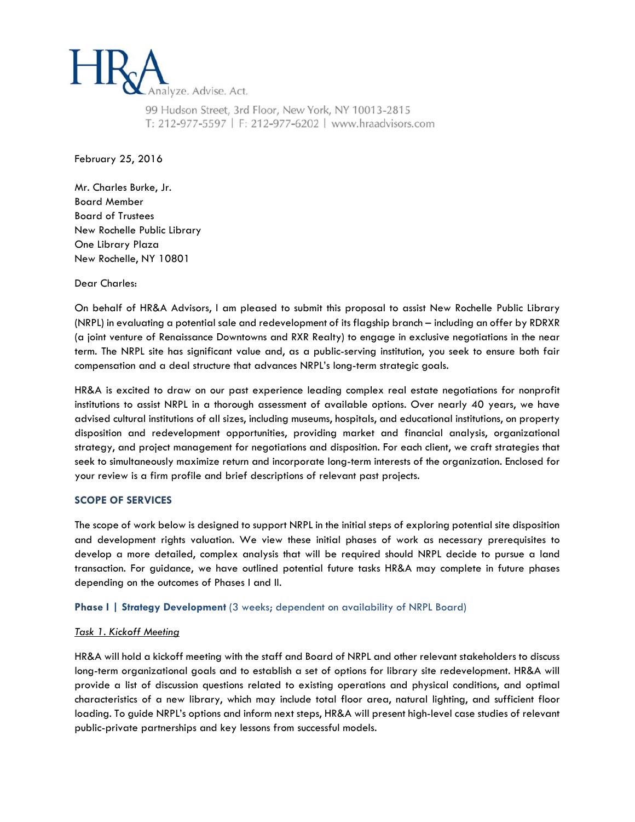

99 Hudson Street, 3rd Floor, New York, NY 10013-2815 T: 212-977-5597 | F: 212-977-6202 | www.hraadvisors.com

February 25, 2016

Mr. Charles Burke, Jr. Board Member Board of Trustees New Rochelle Public Library One Library Plaza New Rochelle, NY 10801

Dear Charles:

On behalf of HR&A Advisors, I am pleased to submit this proposal to assist New Rochelle Public Library (NRPL) in evaluating a potential sale and redevelopment of its flagship branch – including an offer by RDRXR (a joint venture of Renaissance Downtowns and RXR Realty) to engage in exclusive negotiations in the near term. The NRPL site has significant value and, as a public-serving institution, you seek to ensure both fair compensation and a deal structure that advances NRPL's long-term strategic goals.

HR&A is excited to draw on our past experience leading complex real estate negotiations for nonprofit institutions to assist NRPL in a thorough assessment of available options. Over nearly 40 years, we have advised cultural institutions of all sizes, including museums, hospitals, and educational institutions, on property disposition and redevelopment opportunities, providing market and financial analysis, organizational strategy, and project management for negotiations and disposition. For each client, we craft strategies that seek to simultaneously maximize return and incorporate long-term interests of the organization. Enclosed for your review is a firm profile and brief descriptions of relevant past projects.

### **SCOPE OF SERVICES**

The scope of work below is designed to support NRPL in the initial steps of exploring potential site disposition and development rights valuation. We view these initial phases of work as necessary prerequisites to develop a more detailed, complex analysis that will be required should NRPL decide to pursue a land transaction. For guidance, we have outlined potential future tasks HR&A may complete in future phases depending on the outcomes of Phases I and II.

**Phase I | Strategy Development** (3 weeks; dependent on availability of NRPL Board)

## *Task 1. Kickoff Meeting*

HR&A will hold a kickoff meeting with the staff and Board of NRPL and other relevant stakeholders to discuss long-term organizational goals and to establish a set of options for library site redevelopment. HR&A will provide a list of discussion questions related to existing operations and physical conditions, and optimal characteristics of a new library, which may include total floor area, natural lighting, and sufficient floor loading. To guide NRPL's options and inform next steps, HR&A will present high-level case studies of relevant public-private partnerships and key lessons from successful models.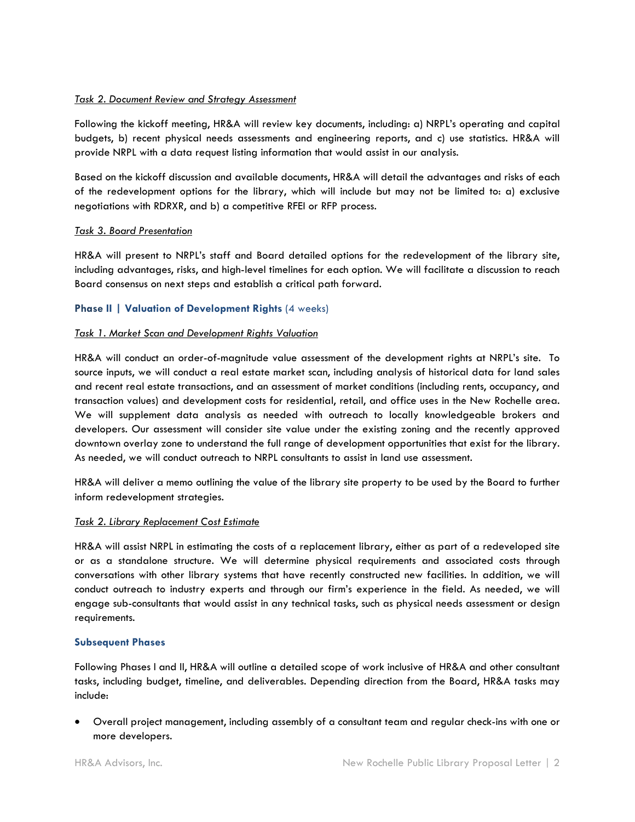### *Task 2. Document Review and Strategy Assessment*

Following the kickoff meeting, HR&A will review key documents, including: a) NRPL's operating and capital budgets, b) recent physical needs assessments and engineering reports, and c) use statistics. HR&A will provide NRPL with a data request listing information that would assist in our analysis.

Based on the kickoff discussion and available documents, HR&A will detail the advantages and risks of each of the redevelopment options for the library, which will include but may not be limited to: a) exclusive negotiations with RDRXR, and b) a competitive RFEI or RFP process.

#### *Task 3. Board Presentation*

HR&A will present to NRPL's staff and Board detailed options for the redevelopment of the library site, including advantages, risks, and high-level timelines for each option. We will facilitate a discussion to reach Board consensus on next steps and establish a critical path forward.

#### **Phase II | Valuation of Development Rights (4 weeks)**

#### *Task 1. Market Scan and Development Rights Valuation*

HR&A will conduct an order-of-magnitude value assessment of the development rights at NRPL's site. To source inputs, we will conduct a real estate market scan, including analysis of historical data for land sales and recent real estate transactions, and an assessment of market conditions (including rents, occupancy, and transaction values) and development costs for residential, retail, and office uses in the New Rochelle area. We will supplement data analysis as needed with outreach to locally knowledgeable brokers and developers. Our assessment will consider site value under the existing zoning and the recently approved downtown overlay zone to understand the full range of development opportunities that exist for the library. As needed, we will conduct outreach to NRPL consultants to assist in land use assessment.

HR&A will deliver a memo outlining the value of the library site property to be used by the Board to further inform redevelopment strategies.

#### *Task 2. Library Replacement Cost Estimate*

HR&A will assist NRPL in estimating the costs of a replacement library, either as part of a redeveloped site or as a standalone structure. We will determine physical requirements and associated costs through conversations with other library systems that have recently constructed new facilities. In addition, we will conduct outreach to industry experts and through our firm's experience in the field. As needed, we will engage sub-consultants that would assist in any technical tasks, such as physical needs assessment or design requirements.

### **Subsequent Phases**

Following Phases I and II, HR&A will outline a detailed scope of work inclusive of HR&A and other consultant tasks, including budget, timeline, and deliverables. Depending direction from the Board, HR&A tasks may include:

 Overall project management, including assembly of a consultant team and regular check-ins with one or more developers.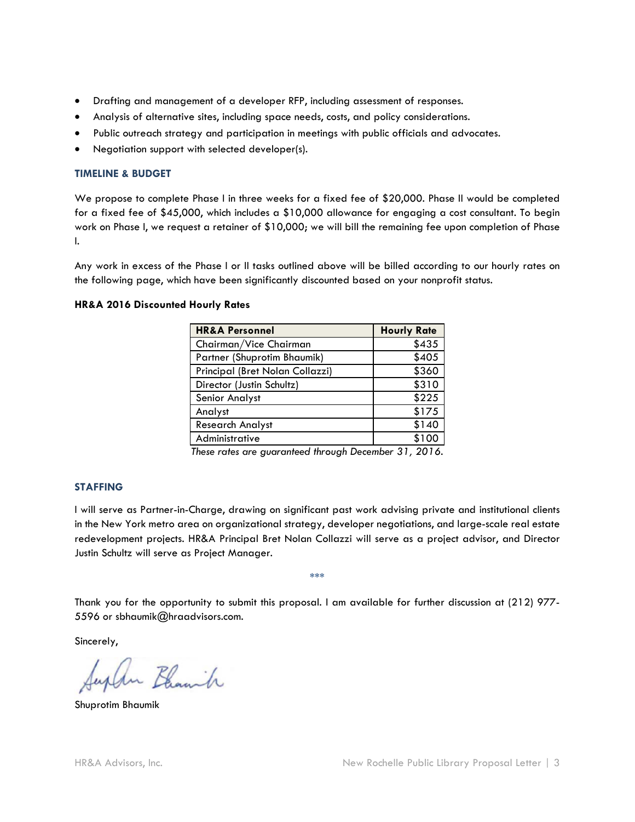- Drafting and management of a developer RFP, including assessment of responses.
- Analysis of alternative sites, including space needs, costs, and policy considerations.
- Public outreach strategy and participation in meetings with public officials and advocates.
- Negotiation support with selected developer(s).

### **TIMELINE & BUDGET**

We propose to complete Phase I in three weeks for a fixed fee of \$20,000. Phase II would be completed for a fixed fee of \$45,000, which includes a \$10,000 allowance for engaging a cost consultant. To begin work on Phase I, we request a retainer of \$10,000; we will bill the remaining fee upon completion of Phase I.

Any work in excess of the Phase I or II tasks outlined above will be billed according to our hourly rates on the following page, which have been significantly discounted based on your nonprofit status.

### **HR&A 2016 Discounted Hourly Rates**

| <b>HR&amp;A Personnel</b>       | <b>Hourly Rate</b> |
|---------------------------------|--------------------|
| Chairman/Vice Chairman          | \$435              |
| Partner (Shuprotim Bhaumik)     | \$405              |
| Principal (Bret Nolan Collazzi) | \$360              |
| Director (Justin Schultz)       | \$310              |
| Senior Analyst                  | \$225              |
| Analyst                         | \$175              |
| <b>Research Analyst</b>         | \$140              |
| Administrative                  | \$100              |

*These rates are guaranteed through December 31, 2016.*

## **STAFFING**

I will serve as Partner-in-Charge, drawing on significant past work advising private and institutional clients in the New York metro area on organizational strategy, developer negotiations, and large-scale real estate redevelopment projects. HR&A Principal Bret Nolan Collazzi will serve as a project advisor, and Director Justin Schultz will serve as Project Manager.

Thank you for the opportunity to submit this proposal. I am available for further discussion at (212) 977- 5596 or sbhaumik@hraadvisors.com.

\*\*\*

Sincerely,

uplen Blanch

Shuprotim Bhaumik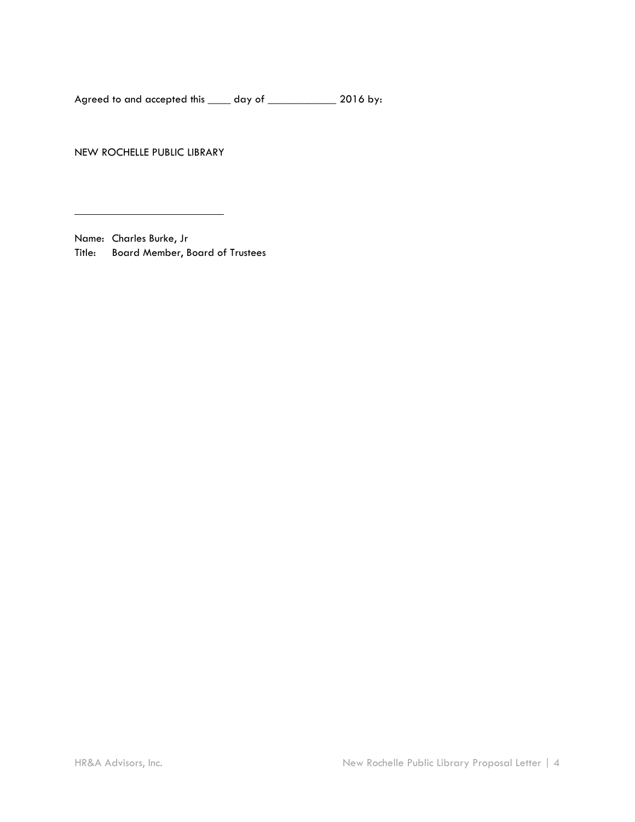Agreed to and accepted this \_\_\_\_ day of \_\_\_\_\_\_\_\_\_\_\_\_ 2016 by:

NEW ROCHELLE PUBLIC LIBRARY

Name: Charles Burke, Jr Title: Board Member, Board of Trustees

 $\overline{a}$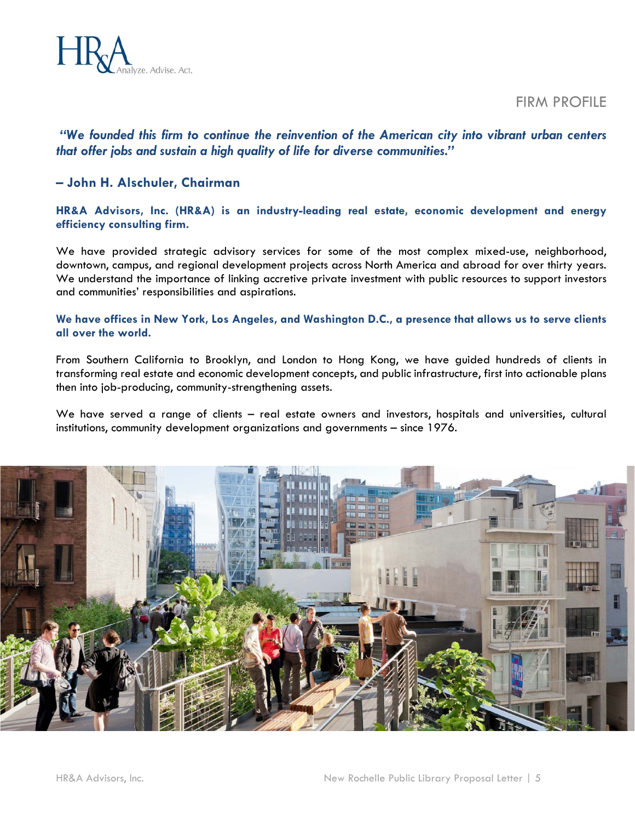

FIRM PROFILE

## *"We founded this firm to continue the reinvention of the American city into vibrant urban centers that offer jobs and sustain a high quality of life for diverse communities."*

## **– John H. Alschuler, Chairman**

**HR&A Advisors, Inc. (HR&A) is an industry-leading real estate, economic development and energy efficiency consulting firm.** 

We have provided strategic advisory services for some of the most complex mixed-use, neighborhood, downtown, campus, and regional development projects across North America and abroad for over thirty years. We understand the importance of linking accretive private investment with public resources to support investors and communities' responsibilities and aspirations.

## **We have offices in New York, Los Angeles, and Washington D.C., a presence that allows us to serve clients all over the world.**

From Southern California to Brooklyn, and London to Hong Kong, we have guided hundreds of clients in transforming real estate and economic development concepts, and public infrastructure, first into actionable plans then into job-producing, community-strengthening assets.

We have served a range of clients – real estate owners and investors, hospitals and universities, cultural institutions, community development organizations and governments – since 1976.

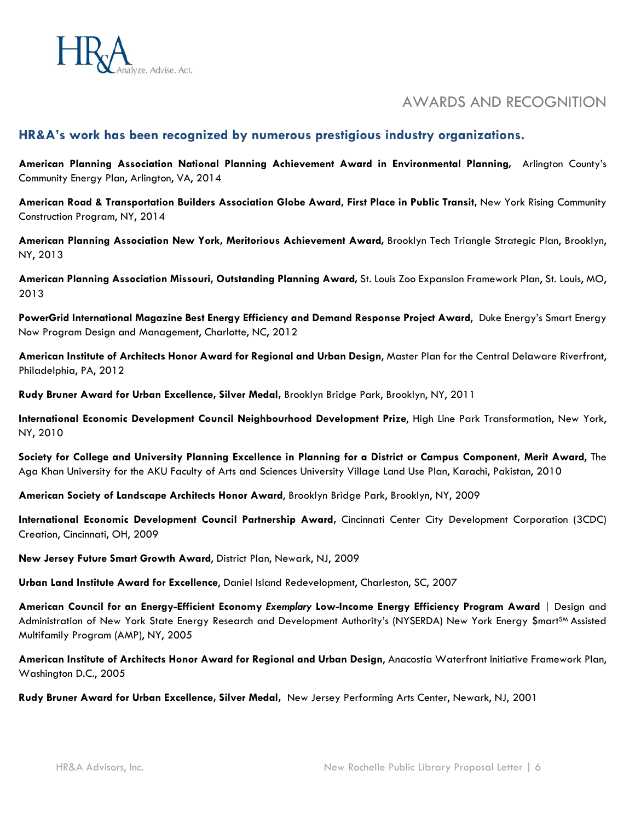

# AWARDS AND RECOGNITION

## **HR&A's work has been recognized by numerous prestigious industry organizations.**

**American Planning Association National Planning Achievement Award in Environmental Planning***,* Arlington County's Community Energy Plan, Arlington, VA, 2014

**American Road & Transportation Builders Association Globe Award, First Place in Public Transit,** New York Rising Community Construction Program, NY, 2014

**American Planning Association New York, Meritorious Achievement Award***,* Brooklyn Tech Triangle Strategic Plan, Brooklyn, NY, 2013

**American Planning Association Missouri, Outstanding Planning Award***,* St. Louis Zoo Expansion Framework Plan, St. Louis, MO, 2013

**PowerGrid International Magazine Best Energy Efficiency and Demand Response Project Award**, Duke Energy's Smart Energy Now Program Design and Management, Charlotte, NC, 2012

**American Institute of Architects Honor Award for Regional and Urban Design**, Master Plan for the Central Delaware Riverfront, Philadelphia, PA, 2012

**Rudy Bruner Award for Urban Excellence, Silver Medal,** Brooklyn Bridge Park, Brooklyn, NY, 2011

**International Economic Development Council Neighbourhood Development Prize**, High Line Park Transformation, New York, NY, 2010

**Society for College and University Planning Excellence in Planning for a District or Campus Component, Merit Award**, The Aga Khan University for the AKU Faculty of Arts and Sciences University Village Land Use Plan, Karachi, Pakistan, 2010

**American Society of Landscape Architects Honor Award**, Brooklyn Bridge Park, Brooklyn, NY, 2009

**International Economic Development Council Partnership Award,** Cincinnati Center City Development Corporation (3CDC) Creation, Cincinnati, OH, 2009

**New Jersey Future Smart Growth Award**, District Plan, Newark, NJ, 2009

**Urban Land Institute Award for Excellence**, Daniel Island Redevelopment, Charleston, SC, 2007

**American Council for an Energy-Efficient Economy** *Exemplary* **Low-Income Energy Efficiency Program Award** | Design and Administration of New York State Energy Research and Development Authority's (NYSERDA) New York Energy \$mart<sup>sM</sup> Assisted Multifamily Program (AMP), NY, 2005

**American Institute of Architects Honor Award for Regional and Urban Design**, Anacostia Waterfront Initiative Framework Plan, Washington D.C., 2005

**Rudy Bruner Award for Urban Excellence, Silver Medal,** New Jersey Performing Arts Center, Newark, NJ, 2001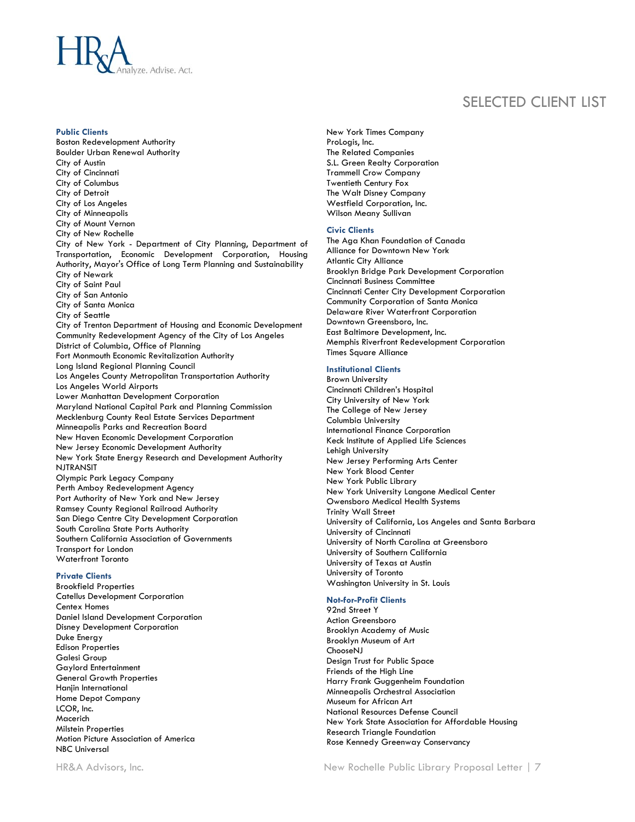

## SELECTED CLIENT LIST

#### **Public Clients**

Boston Redevelopment Authority Boulder Urban Renewal Authority City of Austin City of Cincinnati City of Columbus City of Detroit City of Los Angeles City of Minneapolis City of Mount Vernon City of New Rochelle City of New York - Department of City Planning, Department of Transportation, Economic Development Corporation, Housing Authority, Mayor's Office of Long Term Planning and Sustainability City of Newark City of Saint Paul City of San Antonio City of Santa Monica City of Seattle City of Trenton Department of Housing and Economic Development Community Redevelopment Agency of the City of Los Angeles District of Columbia, Office of Planning Fort Monmouth Economic Revitalization Authority Long Island Regional Planning Council Los Angeles County Metropolitan Transportation Authority Los Angeles World Airports Lower Manhattan Development Corporation Maryland National Capital Park and Planning Commission Mecklenburg County Real Estate Services Department Minneapolis Parks and Recreation Board New Haven Economic Development Corporation New Jersey Economic Development Authority New York State Energy Research and Development Authority NJTRANSIT Olympic Park Legacy Company Perth Amboy Redevelopment Agency Port Authority of New York and New Jersey Ramsey County Regional Railroad Authority San Diego Centre City Development Corporation South Carolina State Ports Authority Southern California Association of Governments Transport for London Waterfront Toronto

#### **Private Clients**

Brookfield Properties Catellus Development Corporation Centex Homes Daniel Island Development Corporation Disney Development Corporation Duke Energy Edison Properties Galesi Group Gaylord Entertainment General Growth Properties Hanjin International Home Depot Company LCOR, Inc. Macerich Milstein Properties Motion Picture Association of America NBC Universal

New York Times Company ProLogis, Inc. The Related Companies S.L. Green Realty Corporation Trammell Crow Company Twentieth Century Fox The Walt Disney Company Westfield Corporation, Inc. Wilson Meany Sullivan

#### **Civic Clients**

The Aga Khan Foundation of Canada Alliance for Downtown New York Atlantic City Alliance Brooklyn Bridge Park Development Corporation Cincinnati Business Committee Cincinnati Center City Development Corporation Community Corporation of Santa Monica Delaware River Waterfront Corporation Downtown Greensboro, Inc. East Baltimore Development, Inc. Memphis Riverfront Redevelopment Corporation Times Square Alliance

#### **Institutional Clients**

Brown University Cincinnati Children's Hospital City University of New York The College of New Jersey Columbia University International Finance Corporation Keck Institute of Applied Life Sciences Lehigh University New Jersey Performing Arts Center New York Blood Center New York Public Library New York University Langone Medical Center Owensboro Medical Health Systems Trinity Wall Street University of California, Los Angeles and Santa Barbara University of Cincinnati University of North Carolina at Greensboro University of Southern California University of Texas at Austin University of Toronto Washington University in St. Louis

#### **Not-for-Profit Clients**

92nd Street Y Action Greensboro Brooklyn Academy of Music Brooklyn Museum of Art ChooseNJ Design Trust for Public Space Friends of the High Line Harry Frank Guggenheim Foundation Minneapolis Orchestral Association Museum for African Art National Resources Defense Council New York State Association for Affordable Housing Research Triangle Foundation Rose Kennedy Greenway Conservancy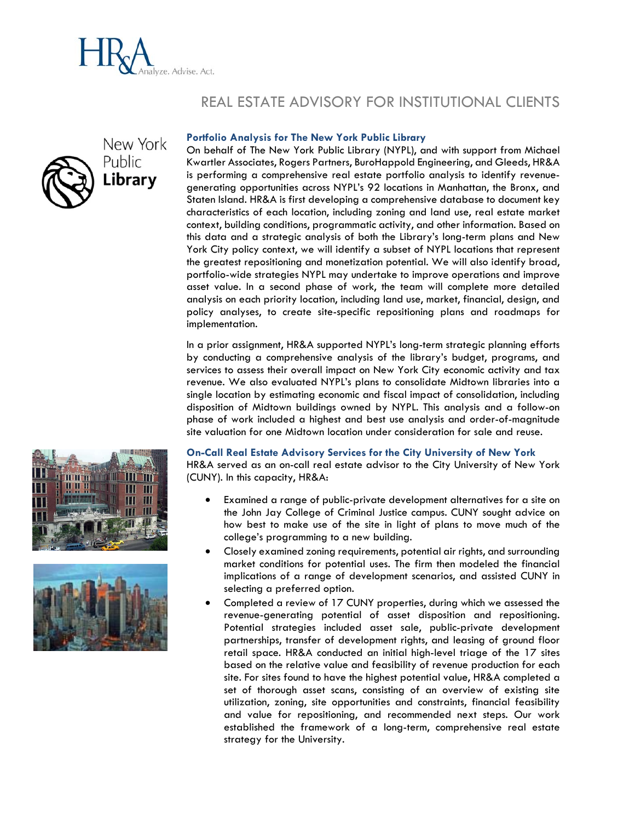

# REAL ESTATE ADVISORY FOR INSTITUTIONAL CLIENTS



#### **Portfolio Analysis for The New York Public Library**

On behalf of The New York Public Library (NYPL), and with support from Michael Kwartler Associates, Rogers Partners, BuroHappold Engineering, and Gleeds, HR&A is performing a comprehensive real estate portfolio analysis to identify revenuegenerating opportunities across NYPL's 92 locations in Manhattan, the Bronx, and Staten Island. HR&A is first developing a comprehensive database to document key characteristics of each location, including zoning and land use, real estate market context, building conditions, programmatic activity, and other information. Based on this data and a strategic analysis of both the Library's long-term plans and New York City policy context, we will identify a subset of NYPL locations that represent the greatest repositioning and monetization potential. We will also identify broad, portfolio-wide strategies NYPL may undertake to improve operations and improve asset value. In a second phase of work, the team will complete more detailed analysis on each priority location, including land use, market, financial, design, and policy analyses, to create site-specific repositioning plans and roadmaps for implementation.

In a prior assignment, HR&A supported NYPL's long-term strategic planning efforts by conducting a comprehensive analysis of the library's budget, programs, and services to assess their overall impact on New York City economic activity and tax revenue. We also evaluated NYPL's plans to consolidate Midtown libraries into a single location by estimating economic and fiscal impact of consolidation, including disposition of Midtown buildings owned by NYPL. This analysis and a follow-on phase of work included a highest and best use analysis and order-of-magnitude site valuation for one Midtown location under consideration for sale and reuse.

#### **On-Call Real Estate Advisory Services for the City University of New York**

HR&A served as an on-call real estate advisor to the City University of New York (CUNY). In this capacity, HR&A:

- Examined a range of public-private development alternatives for a site on the John Jay College of Criminal Justice campus. CUNY sought advice on how best to make use of the site in light of plans to move much of the college's programming to a new building.
- Closely examined zoning requirements, potential air rights, and surrounding market conditions for potential uses. The firm then modeled the financial implications of a range of development scenarios, and assisted CUNY in selecting a preferred option.
- Completed a review of 17 CUNY properties, during which we assessed the revenue-generating potential of asset disposition and repositioning. Potential strategies included asset sale, public-private development partnerships, transfer of development rights, and leasing of ground floor retail space. HR&A conducted an initial high-level triage of the 17 sites based on the relative value and feasibility of revenue production for each site. For sites found to have the highest potential value, HR&A completed a set of thorough asset scans, consisting of an overview of existing site utilization, zoning, site opportunities and constraints, financial feasibility and value for repositioning, and recommended next steps. Our work established the framework of a long-term, comprehensive real estate strategy for the University.



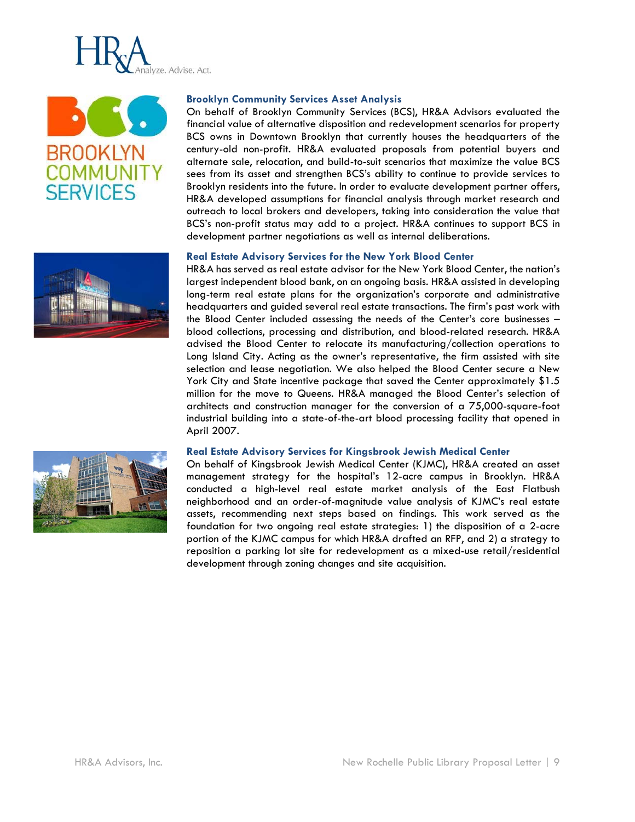





#### **Brooklyn Community Services Asset Analysis**

On behalf of Brooklyn Community Services (BCS), HR&A Advisors evaluated the financial value of alternative disposition and redevelopment scenarios for property BCS owns in Downtown Brooklyn that currently houses the headquarters of the century-old non-profit. HR&A evaluated proposals from potential buyers and alternate sale, relocation, and build-to-suit scenarios that maximize the value BCS sees from its asset and strengthen BCS's ability to continue to provide services to Brooklyn residents into the future. In order to evaluate development partner offers, HR&A developed assumptions for financial analysis through market research and outreach to local brokers and developers, taking into consideration the value that BCS's non-profit status may add to a project. HR&A continues to support BCS in development partner negotiations as well as internal deliberations.

#### **Real Estate Advisory Services for the New York Blood Center**

HR&A has served as real estate advisor for the New York Blood Center, the nation's largest independent blood bank, on an ongoing basis. HR&A assisted in developing long-term real estate plans for the organization's corporate and administrative headquarters and guided several real estate transactions. The firm's past work with the Blood Center included assessing the needs of the Center's core businesses – blood collections, processing and distribution, and blood-related research. HR&A advised the Blood Center to relocate its manufacturing/collection operations to Long Island City. Acting as the owner's representative, the firm assisted with site selection and lease negotiation. We also helped the Blood Center secure a New York City and State incentive package that saved the Center approximately \$1.5 million for the move to Queens. HR&A managed the Blood Center's selection of architects and construction manager for the conversion of a 75,000-square-foot industrial building into a state-of-the-art blood processing facility that opened in April 2007.

#### **Real Estate Advisory Services for Kingsbrook Jewish Medical Center**

On behalf of Kingsbrook Jewish Medical Center (KJMC), HR&A created an asset management strategy for the hospital's 12-acre campus in Brooklyn. HR&A conducted a high-level real estate market analysis of the East Flatbush neighborhood and an order-of-magnitude value analysis of KJMC's real estate assets, recommending next steps based on findings. This work served as the foundation for two ongoing real estate strategies: 1) the disposition of a 2-acre portion of the KJMC campus for which HR&A drafted an RFP, and 2) a strategy to reposition a parking lot site for redevelopment as a mixed-use retail/residential development through zoning changes and site acquisition.

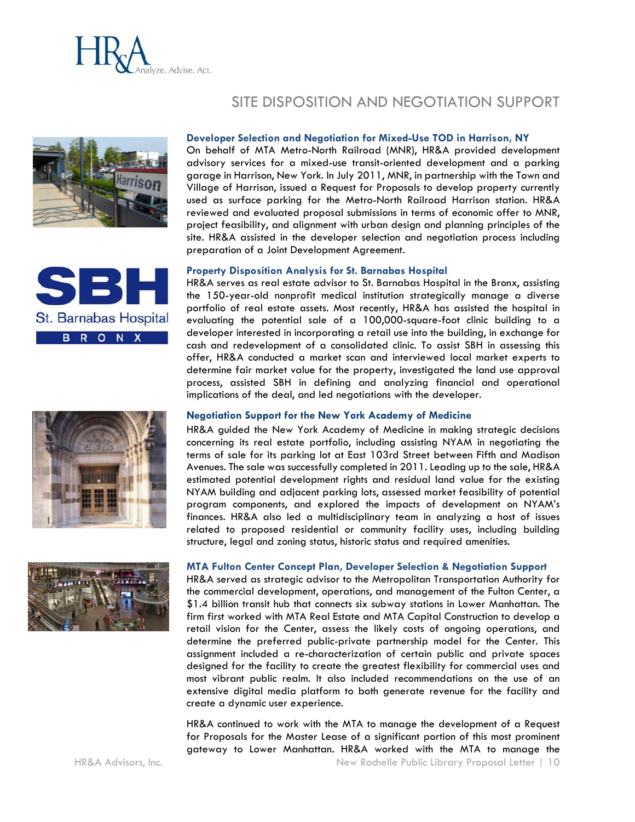

# SITE DISPOSITION AND NEGOTIATION SUPPORT



St. Barnabas Hospital

**BRONX** 

#### **Developer Selection and Negotiation for Mixed-Use TOD in Harrison, NY**

On behalf of MTA Metro-North Railroad (MNR), HR&A provided development advisory services for a mixed-use transit-oriented development and a parking garage in Harrison, New York. In July 2011, MNR, in partnership with the Town and Village of Harrison, issued a Request for Proposals to develop property currently used as surface parking for the Metro-North Railroad Harrison station. HR&A reviewed and evaluated proposal submissions in terms of economic offer to MNR, project feasibility, and alignment with urban design and planning principles of the site. HR&A assisted in the developer selection and negotiation process including preparation of a Joint Development Agreement.

#### **Property Disposition Analysis for St. Barnabas Hospital**

HR&A serves as real estate advisor to St. Barnabas Hospital in the Bronx, assisting the 150-year-old nonprofit medical institution strategically manage a diverse portfolio of real estate assets. Most recently, HR&A has assisted the hospital in evaluating the potential sale of a 100,000-square-foot clinic building to a developer interested in incorporating a retail use into the building, in exchange for cash and redevelopment of a consolidated clinic. To assist SBH in assessing this offer, HR&A conducted a market scan and interviewed local market experts to determine fair market value for the property, investigated the land use approval process, assisted SBH in defining and analyzing financial and operational implications of the deal, and led negotiations with the developer.

#### **Negotiation Support for the New York Academy of Medicine**

HR&A guided the New York Academy of Medicine in making strategic decisions concerning its real estate portfolio, including assisting NYAM in negotiating the terms of sale for its parking lot at East 103rd Street between Fifth and Madison Avenues. The sale was successfully completed in 2011. Leading up to the sale, HR&A estimated potential development rights and residual land value for the existing NYAM building and adjacent parking lots, assessed market feasibility of potential program components, and explored the impacts of development on NYAM's finances. HR&A also led a multidisciplinary team in analyzing a host of issues related to proposed residential or community facility uses, including building structure, legal and zoning status, historic status and required amenities.



#### **MTA Fulton Center Concept Plan, Developer Selection & Negotiation Support**

HR&A served as strategic advisor to the Metropolitan Transportation Authority for the commercial development, operations, and management of the Fulton Center, a \$1.4 billion transit hub that connects six subway stations in Lower Manhattan. The firm first worked with MTA Real Estate and MTA Capital Construction to develop a retail vision for the Center, assess the likely costs of ongoing operations, and determine the preferred public-private partnership model for the Center. This assignment included a re-characterization of certain public and private spaces designed for the facility to create the greatest flexibility for commercial uses and most vibrant public realm. It also included recommendations on the use of an extensive digital media platform to both generate revenue for the facility and create a dynamic user experience.

HR&A continued to work with the MTA to manage the development of a Request for Proposals for the Master Lease of a significant portion of this most prominent gateway to Lower Manhattan. HR&A worked with the MTA to manage the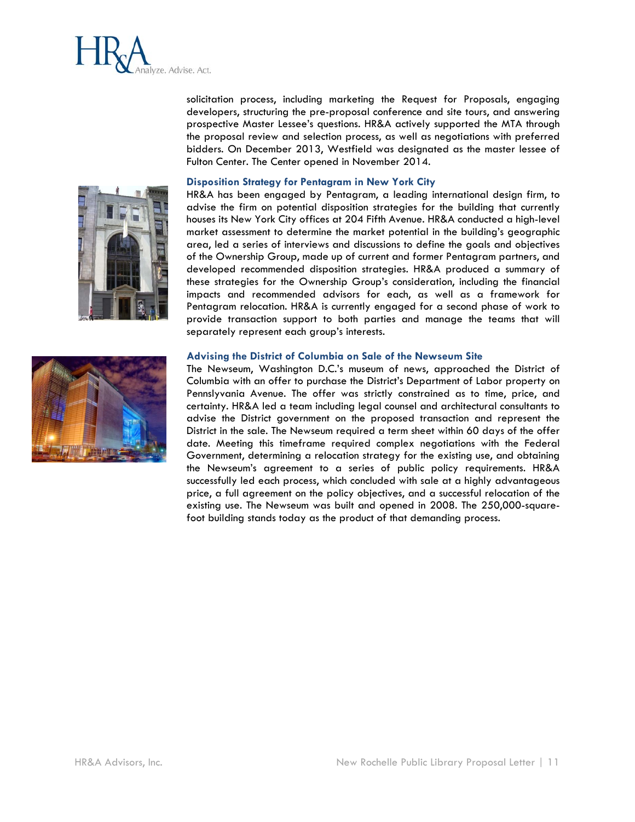

solicitation process, including marketing the Request for Proposals, engaging developers, structuring the pre-proposal conference and site tours, and answering prospective Master Lessee's questions. HR&A actively supported the MTA through the proposal review and selection process, as well as negotiations with preferred bidders. On December 2013, Westfield was designated as the master lessee of Fulton Center. The Center opened in November 2014.

#### **Disposition Strategy for Pentagram in New York City**

HR&A has been engaged by Pentagram, a leading international design firm, to advise the firm on potential disposition strategies for the building that currently houses its New York City offices at 204 Fifth Avenue. HR&A conducted a high-level market assessment to determine the market potential in the building's geographic area, led a series of interviews and discussions to define the goals and objectives of the Ownership Group, made up of current and former Pentagram partners, and developed recommended disposition strategies. HR&A produced a summary of these strategies for the Ownership Group's consideration, including the financial impacts and recommended advisors for each, as well as a framework for Pentagram relocation. HR&A is currently engaged for a second phase of work to provide transaction support to both parties and manage the teams that will separately represent each group's interests.

#### **Advising the District of Columbia on Sale of the Newseum Site**

The Newseum, Washington D.C.'s museum of news, approached the District of Columbia with an offer to purchase the District's Department of Labor property on Pennslyvania Avenue. The offer was strictly constrained as to time, price, and certainty. HR&A led a team including legal counsel and architectural consultants to advise the District government on the proposed transaction and represent the District in the sale. The Newseum required a term sheet within 60 days of the offer date. Meeting this timeframe required complex negotiations with the Federal Government, determining a relocation strategy for the existing use, and obtaining the Newseum's agreement to a series of public policy requirements. HR&A successfully led each process, which concluded with sale at a highly advantageous price, a full agreement on the policy objectives, and a successful relocation of the existing use. The Newseum was built and opened in 2008. The 250,000-squarefoot building stands today as the product of that demanding process.



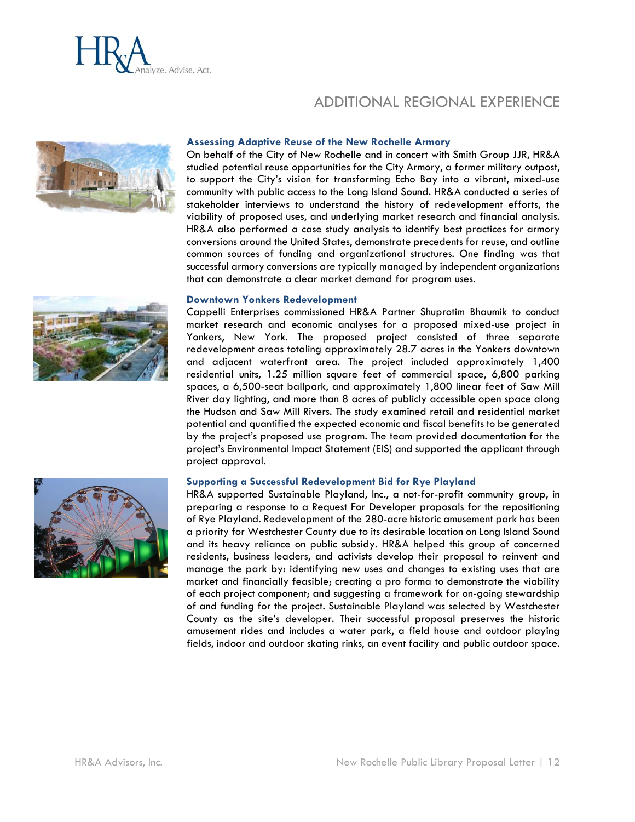

# ADDITIONAL REGIONAL EXPERIENCE



#### **Assessing Adaptive Reuse of the New Rochelle Armory**

On behalf of the City of New Rochelle and in concert with Smith Group JJR, HR&A studied potential reuse opportunities for the City Armory, a former military outpost, to support the City's vision for transforming Echo Bay into a vibrant, mixed-use community with public access to the Long Island Sound. HR&A conducted a series of stakeholder interviews to understand the history of redevelopment efforts, the viability of proposed uses, and underlying market research and financial analysis. HR&A also performed a case study analysis to identify best practices for armory conversions around the United States, demonstrate precedents for reuse, and outline common sources of funding and organizational structures. One finding was that successful armory conversions are typically managed by independent organizations that can demonstrate a clear market demand for program uses.

#### **Downtown Yonkers Redevelopment**

Cappelli Enterprises commissioned HR&A Partner Shuprotim Bhaumik to conduct market research and economic analyses for a proposed mixed-use project in Yonkers, New York. The proposed project consisted of three separate redevelopment areas totaling approximately 28.7 acres in the Yonkers downtown and adjacent waterfront area. The project included approximately 1,400 residential units, 1.25 million square feet of commercial space, 6,800 parking spaces, a 6,500-seat ballpark, and approximately 1,800 linear feet of Saw Mill River day lighting, and more than 8 acres of publicly accessible open space along the Hudson and Saw Mill Rivers. The study examined retail and residential market potential and quantified the expected economic and fiscal benefits to be generated by the project's proposed use program. The team provided documentation for the project's Environmental Impact Statement (EIS) and supported the applicant through project approval.

#### **Supporting a Successful Redevelopment Bid for Rye Playland**

HR&A supported Sustainable Playland, Inc., a not-for-profit community group, in preparing a response to a Request For Developer proposals for the repositioning of Rye Playland. Redevelopment of the 280-acre historic amusement park has been a priority for Westchester County due to its desirable location on Long Island Sound and its heavy reliance on public subsidy. HR&A helped this group of concerned residents, business leaders, and activists develop their proposal to reinvent and manage the park by: identifying new uses and changes to existing uses that are market and financially feasible; creating a pro forma to demonstrate the viability of each project component; and suggesting a framework for on-going stewardship of and funding for the project. Sustainable Playland was selected by Westchester County as the site's developer. Their successful proposal preserves the historic amusement rides and includes a water park, a field house and outdoor playing fields, indoor and outdoor skating rinks, an event facility and public outdoor space.